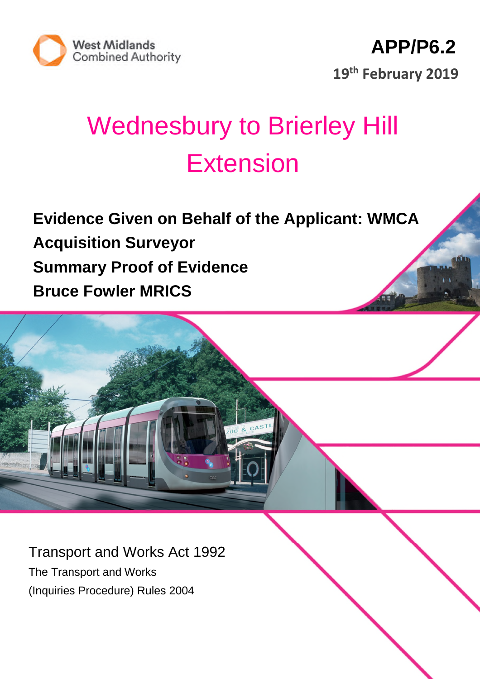

# Wednesbury to Brierley Hill **Extension**

**Evidence Given on Behalf of the Applicant: WMCA Acquisition Surveyor Summary Proof of Evidence Bruce Fowler MRICS**

Transport and Works Act 1992 The Transport and Works (Inquiries Procedure) Rules 2004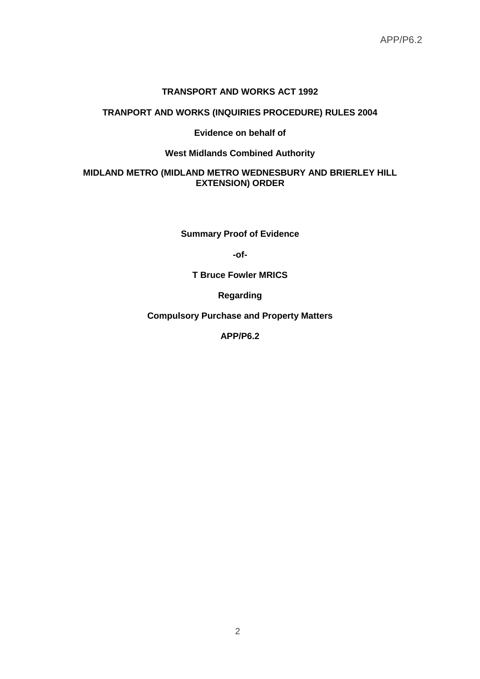#### **TRANSPORT AND WORKS ACT 1992**

# **TRANPORT AND WORKS (INQUIRIES PROCEDURE) RULES 2004**

## **Evidence on behalf of**

#### **West Midlands Combined Authority**

## **MIDLAND METRO (MIDLAND METRO WEDNESBURY AND BRIERLEY HILL EXTENSION) ORDER**

**Summary Proof of Evidence**

**-of-**

**T Bruce Fowler MRICS**

**Regarding**

**Compulsory Purchase and Property Matters**

**APP/P6.2**

2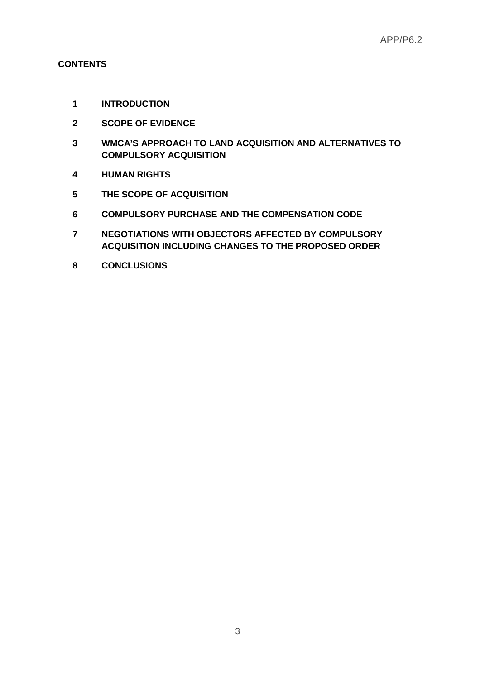## **CONTENTS**

- **INTRODUCTION**
- **SCOPE OF EVIDENCE**
- **WMCA'S APPROACH TO LAND ACQUISITION AND ALTERNATIVES TO COMPULSORY ACQUISITION**
- **HUMAN RIGHTS**
- **THE SCOPE OF ACQUISITION**
- **COMPULSORY PURCHASE AND THE COMPENSATION CODE**
- **NEGOTIATIONS WITH OBJECTORS AFFECTED BY COMPULSORY ACQUISITION INCLUDING CHANGES TO THE PROPOSED ORDER**
- **CONCLUSIONS**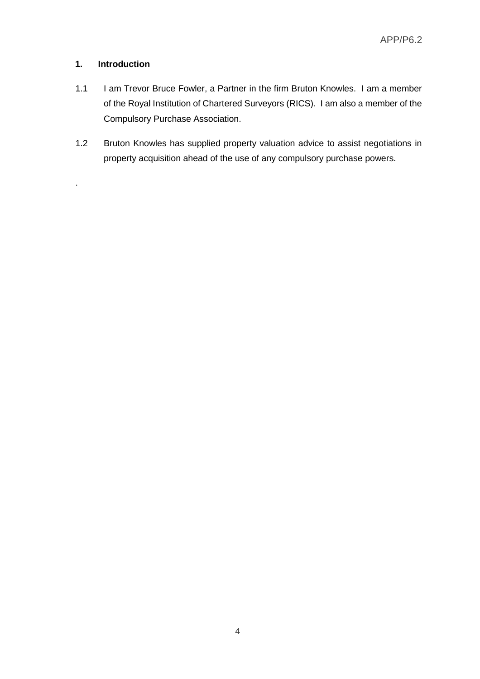## **1. Introduction**

.

- 1.1 I am Trevor Bruce Fowler, a Partner in the firm Bruton Knowles. I am a member of the Royal Institution of Chartered Surveyors (RICS). I am also a member of the Compulsory Purchase Association.
- 1.2 Bruton Knowles has supplied property valuation advice to assist negotiations in property acquisition ahead of the use of any compulsory purchase powers.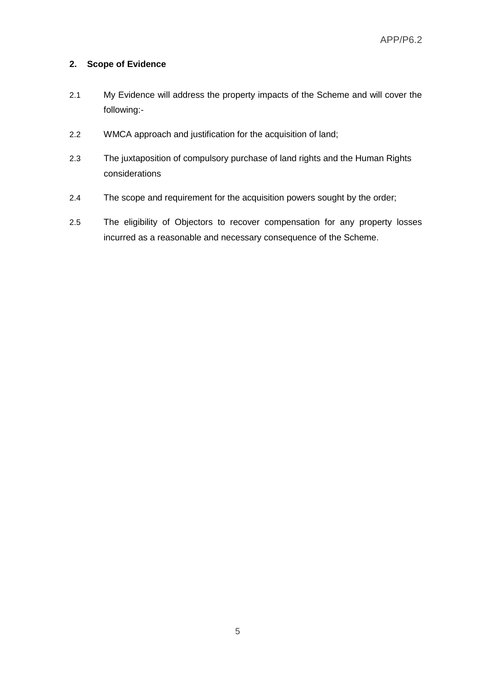## **2. Scope of Evidence**

- 2.1 My Evidence will address the property impacts of the Scheme and will cover the following:-
- 2.2 WMCA approach and justification for the acquisition of land;
- 2.3 The juxtaposition of compulsory purchase of land rights and the Human Rights considerations
- 2.4 The scope and requirement for the acquisition powers sought by the order;
- 2.5 The eligibility of Objectors to recover compensation for any property losses incurred as a reasonable and necessary consequence of the Scheme.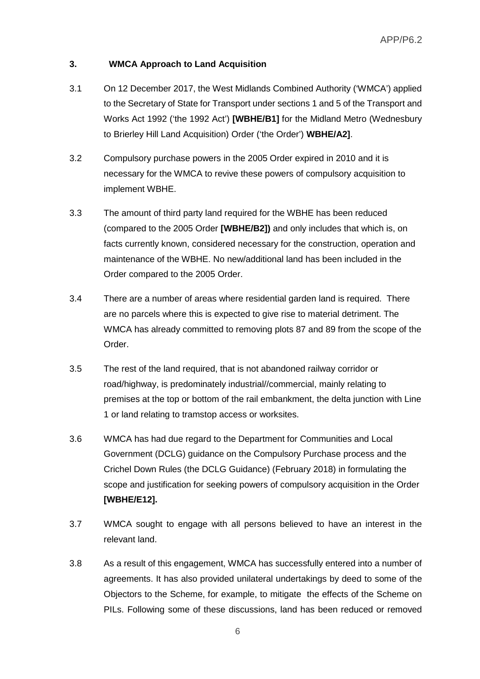## **3. WMCA Approach to Land Acquisition**

- 3.1 On 12 December 2017, the West Midlands Combined Authority ('WMCA') applied to the Secretary of State for Transport under sections 1 and 5 of the Transport and Works Act 1992 ('the 1992 Act') **[WBHE/B1]** for the Midland Metro (Wednesbury to Brierley Hill Land Acquisition) Order ('the Order') **WBHE/A2]**.
- 3.2 Compulsory purchase powers in the 2005 Order expired in 2010 and it is necessary for the WMCA to revive these powers of compulsory acquisition to implement WBHE.
- 3.3 The amount of third party land required for the WBHE has been reduced (compared to the 2005 Order **[WBHE/B2])** and only includes that which is, on facts currently known, considered necessary for the construction, operation and maintenance of the WBHE. No new/additional land has been included in the Order compared to the 2005 Order.
- 3.4 There are a number of areas where residential garden land is required. There are no parcels where this is expected to give rise to material detriment. The WMCA has already committed to removing plots 87 and 89 from the scope of the Order.
- 3.5 The rest of the land required, that is not abandoned railway corridor or road/highway, is predominately industrial//commercial, mainly relating to premises at the top or bottom of the rail embankment, the delta junction with Line 1 or land relating to tramstop access or worksites.
- 3.6 WMCA has had due regard to the Department for Communities and Local Government (DCLG) guidance on the Compulsory Purchase process and the Crichel Down Rules (the DCLG Guidance) (February 2018) in formulating the scope and justification for seeking powers of compulsory acquisition in the Order **[WBHE/E12].**
- 3.7 WMCA sought to engage with all persons believed to have an interest in the relevant land.
- 3.8 As a result of this engagement, WMCA has successfully entered into a number of agreements. It has also provided unilateral undertakings by deed to some of the Objectors to the Scheme, for example, to mitigate the effects of the Scheme on PILs. Following some of these discussions, land has been reduced or removed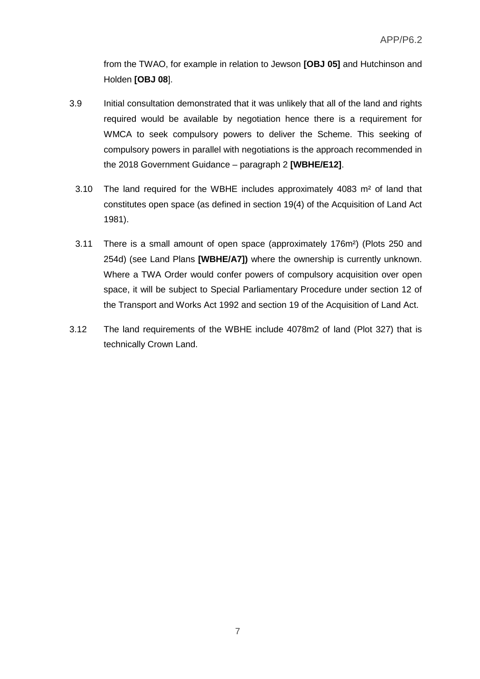from the TWAO, for example in relation to Jewson **[OBJ 05]** and Hutchinson and Holden **[OBJ 08**].

- 3.9 Initial consultation demonstrated that it was unlikely that all of the land and rights required would be available by negotiation hence there is a requirement for WMCA to seek compulsory powers to deliver the Scheme. This seeking of compulsory powers in parallel with negotiations is the approach recommended in the 2018 Government Guidance – paragraph 2 **[WBHE/E12]**.
	- 3.10 The land required for the WBHE includes approximately 4083 m² of land that constitutes open space (as defined in section 19(4) of the Acquisition of Land Act 1981).
	- 3.11 There is a small amount of open space (approximately 176m²) (Plots 250 and 254d) (see Land Plans **[WBHE/A7])** where the ownership is currently unknown. Where a TWA Order would confer powers of compulsory acquisition over open space, it will be subject to Special Parliamentary Procedure under section 12 of the Transport and Works Act 1992 and section 19 of the Acquisition of Land Act.
- 3.12 The land requirements of the WBHE include 4078m2 of land (Plot 327) that is technically Crown Land.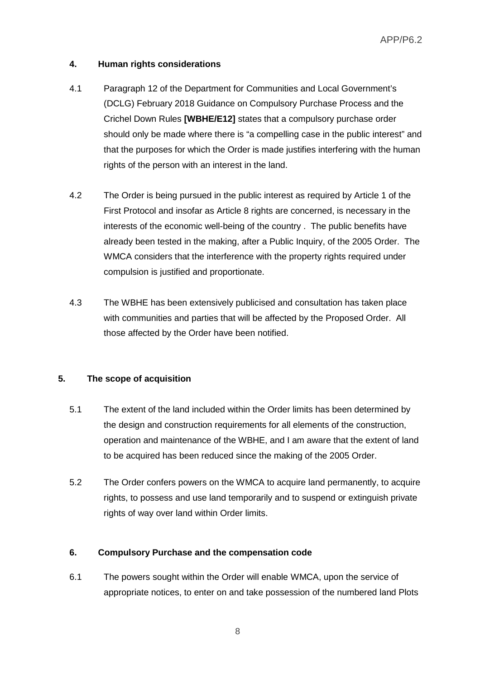## **4. Human rights considerations**

- 4.1 Paragraph 12 of the Department for Communities and Local Government's (DCLG) February 2018 Guidance on Compulsory Purchase Process and the Crichel Down Rules **[WBHE/E12]** states that a compulsory purchase order should only be made where there is "a compelling case in the public interest" and that the purposes for which the Order is made justifies interfering with the human rights of the person with an interest in the land.
- 4.2 The Order is being pursued in the public interest as required by Article 1 of the First Protocol and insofar as Article 8 rights are concerned, is necessary in the interests of the economic well-being of the country . The public benefits have already been tested in the making, after a Public Inquiry, of the 2005 Order. The WMCA considers that the interference with the property rights required under compulsion is justified and proportionate.
- 4.3 The WBHE has been extensively publicised and consultation has taken place with communities and parties that will be affected by the Proposed Order. All those affected by the Order have been notified.

### **5. The scope of acquisition**

- 5.1 The extent of the land included within the Order limits has been determined by the design and construction requirements for all elements of the construction, operation and maintenance of the WBHE, and I am aware that the extent of land to be acquired has been reduced since the making of the 2005 Order.
- 5.2 The Order confers powers on the WMCA to acquire land permanently, to acquire rights, to possess and use land temporarily and to suspend or extinguish private rights of way over land within Order limits.

### **6. Compulsory Purchase and the compensation code**

6.1 The powers sought within the Order will enable WMCA, upon the service of appropriate notices, to enter on and take possession of the numbered land Plots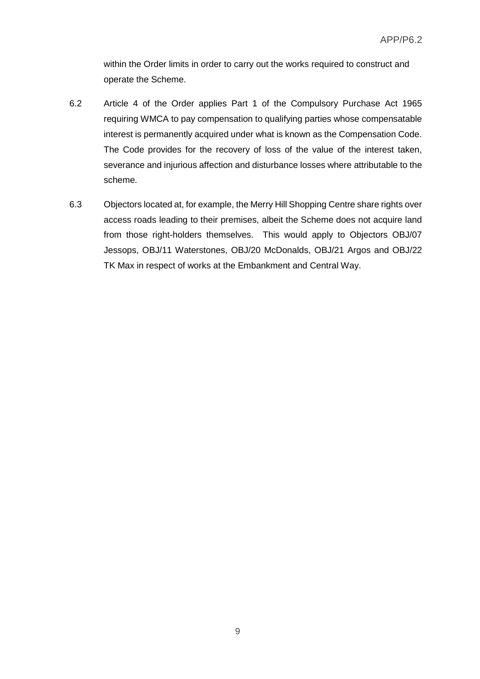within the Order limits in order to carry out the works required to construct and operate the Scheme.

- 6.2 Article 4 of the Order applies Part 1 of the Compulsory Purchase Act 1965 requiring WMCA to pay compensation to qualifying parties whose compensatable interest is permanently acquired under what is known as the Compensation Code. The Code provides for the recovery of loss of the value of the interest taken, severance and injurious affection and disturbance losses where attributable to the scheme.
- 6.3 Objectors located at, for example, the Merry Hill Shopping Centre share rights over access roads leading to their premises, albeit the Scheme does not acquire land from those right-holders themselves. This would apply to Objectors OBJ/07 Jessops, OBJ/11 Waterstones, OBJ/20 McDonalds, OBJ/21 Argos and OBJ/22 TK Max in respect of works at the Embankment and Central Way.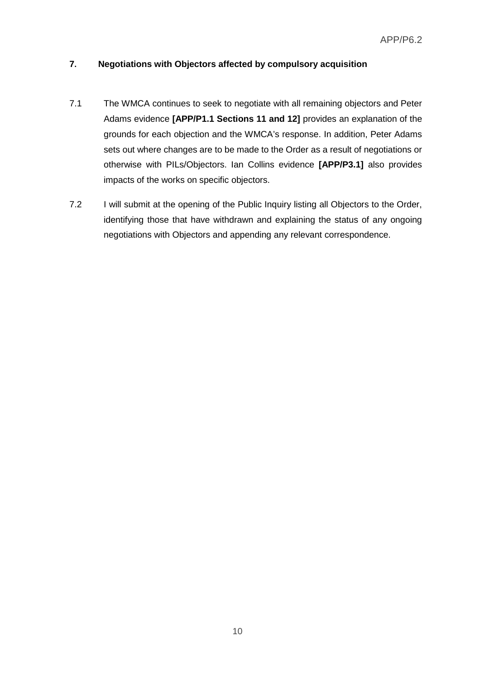# **7. Negotiations with Objectors affected by compulsory acquisition**

- 7.1 The WMCA continues to seek to negotiate with all remaining objectors and Peter Adams evidence **[APP/P1.1 Sections 11 and 12]** provides an explanation of the grounds for each objection and the WMCA's response. In addition, Peter Adams sets out where changes are to be made to the Order as a result of negotiations or otherwise with PILs/Objectors. Ian Collins evidence **[APP/P3.1]** also provides impacts of the works on specific objectors.
- 7.2 I will submit at the opening of the Public Inquiry listing all Objectors to the Order, identifying those that have withdrawn and explaining the status of any ongoing negotiations with Objectors and appending any relevant correspondence.